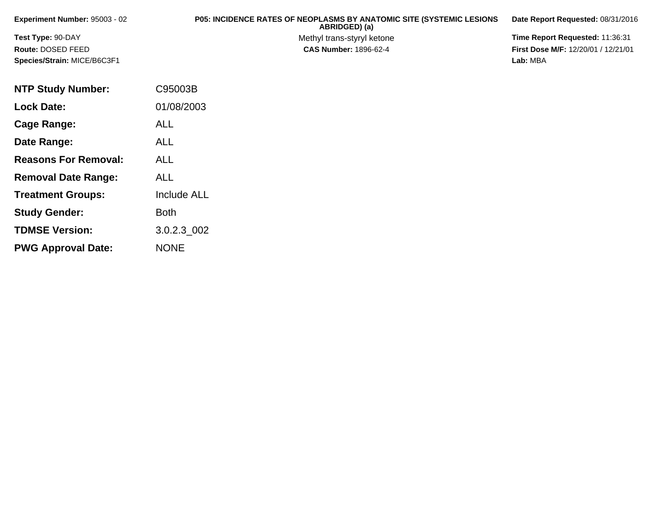| <b>Experiment Number: 95003 - 02</b> | <b>P05: INCIDENCE RATES OF NEOPLASMS BY ANATOMIC SITE (SYSTEMIC LESIONS)</b><br>ABRIDGED) (a) | Date Report Requested: 08/31/2016          |
|--------------------------------------|-----------------------------------------------------------------------------------------------|--------------------------------------------|
| <b>Test Type: 90-DAY</b>             | Methyl trans-styryl ketone                                                                    | <b>Time Report Requested: 11:36:31</b>     |
| Route: DOSED FEED                    | <b>CAS Number: 1896-62-4</b>                                                                  | <b>First Dose M/F: 12/20/01 / 12/21/01</b> |
| Species/Strain: MICE/B6C3F1          |                                                                                               | Lab: MBA                                   |

| <b>NTP Study Number:</b>    | C95003B            |
|-----------------------------|--------------------|
| <b>Lock Date:</b>           | 01/08/2003         |
| Cage Range:                 | ALL                |
| Date Range:                 | ALL                |
| <b>Reasons For Removal:</b> | ALL                |
| <b>Removal Date Range:</b>  | ALL                |
| <b>Treatment Groups:</b>    | <b>Include ALL</b> |
| <b>Study Gender:</b>        | <b>Both</b>        |
| <b>TDMSE Version:</b>       | 3.0.2.3_002        |
| <b>PWG Approval Date:</b>   | <b>NONE</b>        |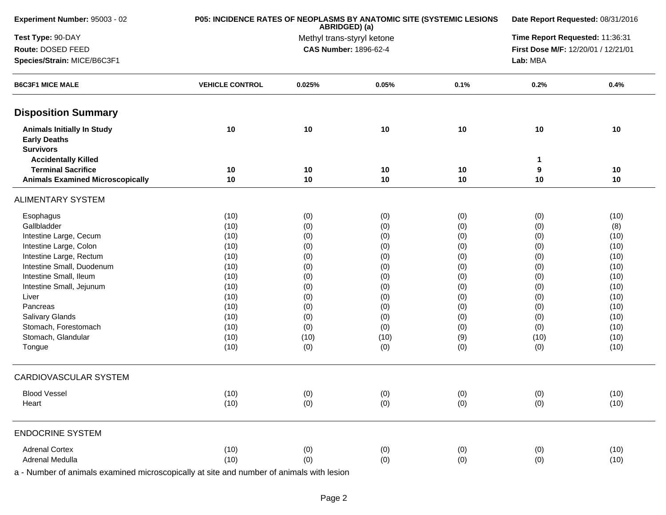| Experiment Number: 95003 - 02                                                | P05: INCIDENCE RATES OF NEOPLASMS BY ANATOMIC SITE (SYSTEMIC LESIONS | ABRIDGED) (a)                |       |      | Date Report Requested: 08/31/2016   |                                 |  |  |
|------------------------------------------------------------------------------|----------------------------------------------------------------------|------------------------------|-------|------|-------------------------------------|---------------------------------|--|--|
| Test Type: 90-DAY                                                            |                                                                      | Methyl trans-styryl ketone   |       |      |                                     | Time Report Requested: 11:36:31 |  |  |
| Route: DOSED FEED                                                            |                                                                      | <b>CAS Number: 1896-62-4</b> |       |      | First Dose M/F: 12/20/01 / 12/21/01 |                                 |  |  |
| Species/Strain: MICE/B6C3F1                                                  |                                                                      |                              |       |      |                                     | Lab: MBA                        |  |  |
| <b>B6C3F1 MICE MALE</b>                                                      | <b>VEHICLE CONTROL</b>                                               | 0.025%                       | 0.05% | 0.1% | 0.2%                                | 0.4%                            |  |  |
| <b>Disposition Summary</b>                                                   |                                                                      |                              |       |      |                                     |                                 |  |  |
| <b>Animals Initially In Study</b><br><b>Early Deaths</b><br><b>Survivors</b> | 10                                                                   | 10                           | 10    | 10   | 10                                  | 10                              |  |  |
| <b>Accidentally Killed</b>                                                   |                                                                      |                              |       |      | 1                                   |                                 |  |  |
| <b>Terminal Sacrifice</b>                                                    | 10                                                                   | 10                           | 10    | 10   | 9                                   | 10                              |  |  |
| <b>Animals Examined Microscopically</b>                                      | 10                                                                   | 10                           | 10    | 10   | 10                                  | 10                              |  |  |
| <b>ALIMENTARY SYSTEM</b>                                                     |                                                                      |                              |       |      |                                     |                                 |  |  |
| Esophagus                                                                    | (10)                                                                 | (0)                          | (0)   | (0)  | (0)                                 | (10)                            |  |  |
| Gallbladder                                                                  | (10)                                                                 | (0)                          | (0)   | (0)  | (0)                                 | (8)                             |  |  |
| Intestine Large, Cecum                                                       | (10)                                                                 | (0)                          | (0)   | (0)  | (0)                                 | (10)                            |  |  |
| Intestine Large, Colon                                                       | (10)                                                                 | (0)                          | (0)   | (0)  | (0)                                 | (10)                            |  |  |
| Intestine Large, Rectum                                                      | (10)                                                                 | (0)                          | (0)   | (0)  | (0)                                 | (10)                            |  |  |
| Intestine Small, Duodenum                                                    | (10)                                                                 | (0)                          | (0)   | (0)  | (0)                                 | (10)                            |  |  |
| Intestine Small, Ileum                                                       | (10)                                                                 | (0)                          | (0)   | (0)  | (0)                                 | (10)                            |  |  |
| Intestine Small, Jejunum                                                     | (10)                                                                 | (0)                          | (0)   | (0)  | (0)                                 | (10)                            |  |  |
| Liver                                                                        | (10)                                                                 | (0)                          | (0)   | (0)  | (0)                                 | (10)                            |  |  |
| Pancreas                                                                     | (10)                                                                 | (0)                          | (0)   | (0)  | (0)                                 | (10)                            |  |  |
| Salivary Glands                                                              | (10)                                                                 | (0)                          | (0)   | (0)  | (0)                                 | (10)                            |  |  |
| Stomach, Forestomach                                                         | (10)                                                                 | (0)                          | (0)   | (0)  | (0)                                 | (10)                            |  |  |
| Stomach, Glandular                                                           | (10)                                                                 | (10)                         | (10)  | (9)  | (10)                                | (10)                            |  |  |
| Tongue                                                                       | (10)                                                                 | (0)                          | (0)   | (0)  | (0)                                 | (10)                            |  |  |
| <b>CARDIOVASCULAR SYSTEM</b>                                                 |                                                                      |                              |       |      |                                     |                                 |  |  |
| <b>Blood Vessel</b>                                                          | (10)                                                                 | (0)                          | (0)   | (0)  | (0)                                 | (10)                            |  |  |
| Heart                                                                        | (10)                                                                 | (0)                          | (0)   | (0)  | (0)                                 | (10)                            |  |  |
| <b>ENDOCRINE SYSTEM</b>                                                      |                                                                      |                              |       |      |                                     |                                 |  |  |
| <b>Adrenal Cortex</b>                                                        | (10)                                                                 | (0)                          | (0)   | (0)  | (0)                                 | (10)                            |  |  |
| Adrenal Medulla                                                              | (10)                                                                 | (0)                          | (0)   | (0)  | (0)                                 | (10)                            |  |  |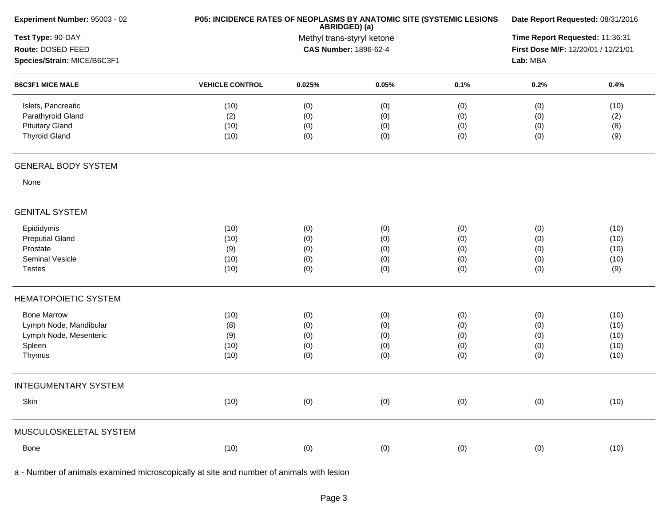| Experiment Number: 95003 - 02 | P05: INCIDENCE RATES OF NEOPLASMS BY ANATOMIC SITE (SYSTEMIC LESIONS | ABRIDGED) (a)              |       |      | Date Report Requested: 08/31/2016<br>Time Report Requested: 11:36:31 |      |  |  |
|-------------------------------|----------------------------------------------------------------------|----------------------------|-------|------|----------------------------------------------------------------------|------|--|--|
| Test Type: 90-DAY             |                                                                      | Methyl trans-styryl ketone |       |      |                                                                      |      |  |  |
| Route: DOSED FEED             | <b>CAS Number: 1896-62-4</b>                                         |                            |       |      | First Dose M/F: 12/20/01 / 12/21/01                                  |      |  |  |
| Species/Strain: MICE/B6C3F1   |                                                                      |                            |       |      | Lab: MBA                                                             |      |  |  |
| <b>B6C3F1 MICE MALE</b>       | <b>VEHICLE CONTROL</b>                                               | 0.025%                     | 0.05% | 0.1% | 0.2%                                                                 | 0.4% |  |  |
| Islets, Pancreatic            | (10)                                                                 | (0)                        | (0)   | (0)  | (0)                                                                  | (10) |  |  |
| Parathyroid Gland             | (2)                                                                  | (0)                        | (0)   | (0)  | (0)                                                                  | (2)  |  |  |
| <b>Pituitary Gland</b>        | (10)                                                                 | (0)                        | (0)   | (0)  | (0)                                                                  | (8)  |  |  |
| <b>Thyroid Gland</b>          | (10)                                                                 | (0)                        | (0)   | (0)  | (0)                                                                  | (9)  |  |  |
| <b>GENERAL BODY SYSTEM</b>    |                                                                      |                            |       |      |                                                                      |      |  |  |
| None                          |                                                                      |                            |       |      |                                                                      |      |  |  |
| <b>GENITAL SYSTEM</b>         |                                                                      |                            |       |      |                                                                      |      |  |  |
| Epididymis                    | (10)                                                                 | (0)                        | (0)   | (0)  | (0)                                                                  | (10) |  |  |
| <b>Preputial Gland</b>        | (10)                                                                 | (0)                        | (0)   | (0)  | (0)                                                                  | (10) |  |  |
| Prostate                      | (9)                                                                  | (0)                        | (0)   | (0)  | (0)                                                                  | (10) |  |  |
| Seminal Vesicle               | (10)                                                                 | (0)                        | (0)   | (0)  | (0)                                                                  | (10) |  |  |
| <b>Testes</b>                 | (10)                                                                 | (0)                        | (0)   | (0)  | (0)                                                                  | (9)  |  |  |
| <b>HEMATOPOIETIC SYSTEM</b>   |                                                                      |                            |       |      |                                                                      |      |  |  |
| <b>Bone Marrow</b>            | (10)                                                                 | (0)                        | (0)   | (0)  | (0)                                                                  | (10) |  |  |
| Lymph Node, Mandibular        | (8)                                                                  | (0)                        | (0)   | (0)  | (0)                                                                  | (10) |  |  |
| Lymph Node, Mesenteric        | (9)                                                                  | (0)                        | (0)   | (0)  | (0)                                                                  | (10) |  |  |
| Spleen                        | (10)                                                                 | (0)                        | (0)   | (0)  | (0)                                                                  | (10) |  |  |
| Thymus                        | (10)                                                                 | (0)                        | (0)   | (0)  | (0)                                                                  | (10) |  |  |
| <b>INTEGUMENTARY SYSTEM</b>   |                                                                      |                            |       |      |                                                                      |      |  |  |
| Skin                          | (10)                                                                 | (0)                        | (0)   | (0)  | (0)                                                                  | (10) |  |  |
| MUSCULOSKELETAL SYSTEM        |                                                                      |                            |       |      |                                                                      |      |  |  |
| Bone                          | (10)                                                                 | (0)                        | (0)   | (0)  | (0)                                                                  | (10) |  |  |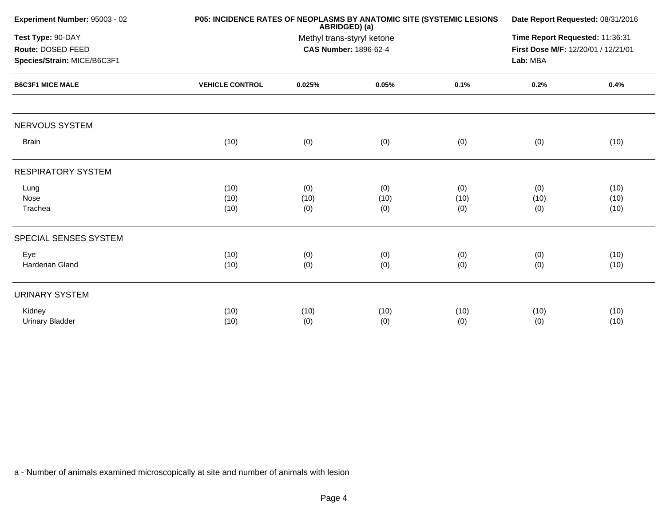|                        |                    |                    |                                                                                    | Date Report Requested: 08/31/2016                                    |                      |  |  |
|------------------------|--------------------|--------------------|------------------------------------------------------------------------------------|----------------------------------------------------------------------|----------------------|--|--|
|                        |                    |                    | Time Report Requested: 11:36:31<br>First Dose M/F: 12/20/01 / 12/21/01<br>Lab: MBA |                                                                      |                      |  |  |
| <b>VEHICLE CONTROL</b> | 0.025%             | 0.05%              | 0.1%                                                                               | 0.2%                                                                 | 0.4%                 |  |  |
|                        |                    |                    |                                                                                    |                                                                      |                      |  |  |
| (10)                   | (0)                | (0)                | (0)                                                                                | (0)                                                                  | (10)                 |  |  |
|                        |                    |                    |                                                                                    |                                                                      |                      |  |  |
| (10)<br>(10)<br>(10)   | (0)<br>(10)<br>(0) | (0)<br>(10)<br>(0) | (0)<br>(10)<br>(0)                                                                 | (0)<br>(10)<br>(0)                                                   | (10)<br>(10)<br>(10) |  |  |
|                        |                    |                    |                                                                                    |                                                                      |                      |  |  |
| (10)<br>(10)           | (0)<br>(0)         | (0)<br>(0)         | (0)<br>(0)                                                                         | (0)<br>(0)                                                           | (10)<br>(10)         |  |  |
|                        |                    |                    |                                                                                    |                                                                      |                      |  |  |
| (10)<br>(10)           | (10)<br>(0)        | (10)<br>(0)        | (10)<br>(0)                                                                        | (10)<br>(0)                                                          | (10)<br>(10)         |  |  |
|                        |                    |                    | ABRIDGED) (a)<br>Methyl trans-styryl ketone<br><b>CAS Number: 1896-62-4</b>        | P05: INCIDENCE RATES OF NEOPLASMS BY ANATOMIC SITE (SYSTEMIC LESIONS |                      |  |  |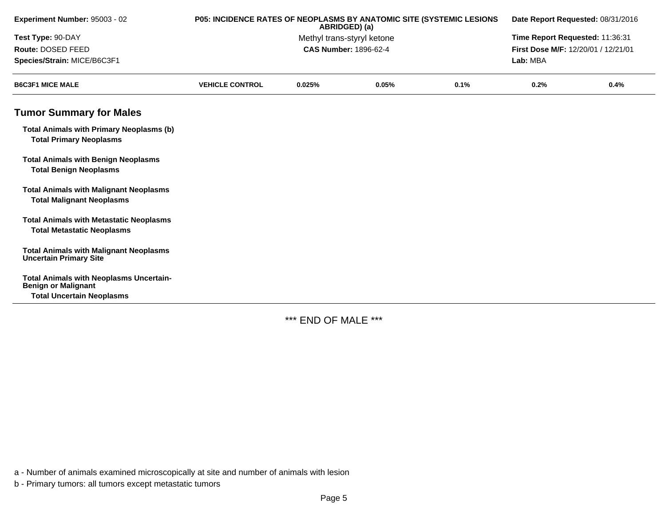| Experiment Number: 95003 - 02                                                       | P05: INCIDENCE RATES OF NEOPLASMS BY ANATOMIC SITE (SYSTEMIC LESIONS<br>ABRIDGED) (a) |                                                                                                                                      |       | Date Report Requested: 08/31/2016 |          |      |
|-------------------------------------------------------------------------------------|---------------------------------------------------------------------------------------|--------------------------------------------------------------------------------------------------------------------------------------|-------|-----------------------------------|----------|------|
| Test Type: 90-DAY                                                                   |                                                                                       | Time Report Requested: 11:36:31<br>Methyl trans-styryl ketone<br><b>CAS Number: 1896-62-4</b><br>First Dose M/F: 12/20/01 / 12/21/01 |       |                                   |          |      |
| Route: DOSED FEED                                                                   |                                                                                       |                                                                                                                                      |       |                                   |          |      |
| Species/Strain: MICE/B6C3F1                                                         |                                                                                       |                                                                                                                                      |       |                                   | Lab: MBA |      |
| <b>B6C3F1 MICE MALE</b>                                                             | <b>VEHICLE CONTROL</b>                                                                | 0.025%                                                                                                                               | 0.05% | 0.1%                              | 0.2%     | 0.4% |
| <b>Tumor Summary for Males</b>                                                      |                                                                                       |                                                                                                                                      |       |                                   |          |      |
| <b>Total Animals with Primary Neoplasms (b)</b><br><b>Total Primary Neoplasms</b>   |                                                                                       |                                                                                                                                      |       |                                   |          |      |
| <b>Total Animals with Benign Neoplasms</b><br><b>Total Benign Neoplasms</b>         |                                                                                       |                                                                                                                                      |       |                                   |          |      |
| <b>Total Animals with Malignant Neoplasms</b><br><b>Total Malignant Neoplasms</b>   |                                                                                       |                                                                                                                                      |       |                                   |          |      |
| <b>Total Animals with Metastatic Neoplasms</b><br><b>Total Metastatic Neoplasms</b> |                                                                                       |                                                                                                                                      |       |                                   |          |      |
| <b>Total Animals with Malignant Neoplasms</b><br><b>Uncertain Primary Site</b>      |                                                                                       |                                                                                                                                      |       |                                   |          |      |
| <b>Total Animals with Neoplasms Uncertain-</b><br><b>Benign or Malignant</b>        |                                                                                       |                                                                                                                                      |       |                                   |          |      |
| <b>Total Uncertain Neoplasms</b>                                                    |                                                                                       |                                                                                                                                      |       |                                   |          |      |

\*\*\* END OF MALE \*\*\*

a - Number of animals examined microscopically at site and number of animals with lesion

b - Primary tumors: all tumors except metastatic tumors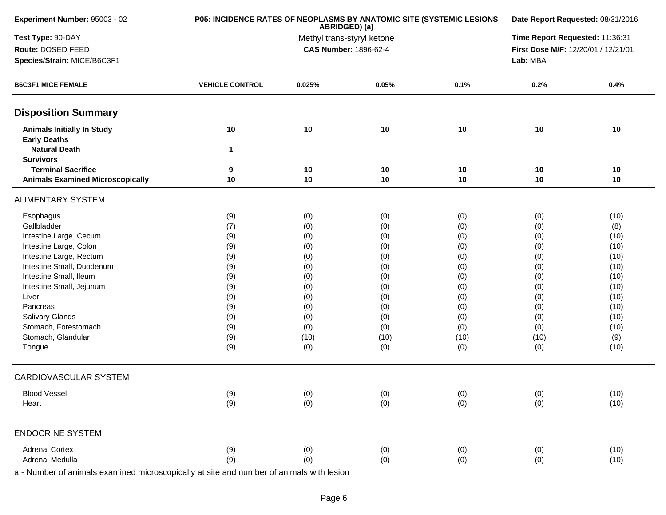| Experiment Number: 95003 - 02                            | P05: INCIDENCE RATES OF NEOPLASMS BY ANATOMIC SITE (SYSTEMIC LESIONS | ABRIDGED) (a)                |       |      | Date Report Requested: 08/31/2016   |      |  |
|----------------------------------------------------------|----------------------------------------------------------------------|------------------------------|-------|------|-------------------------------------|------|--|
| Test Type: 90-DAY                                        |                                                                      | Methyl trans-styryl ketone   |       |      | Time Report Requested: 11:36:31     |      |  |
| Route: DOSED FEED                                        |                                                                      | <b>CAS Number: 1896-62-4</b> |       |      | First Dose M/F: 12/20/01 / 12/21/01 |      |  |
| Species/Strain: MICE/B6C3F1                              |                                                                      |                              |       |      | Lab: MBA                            |      |  |
| <b>B6C3F1 MICE FEMALE</b>                                | <b>VEHICLE CONTROL</b>                                               | 0.025%                       | 0.05% | 0.1% | 0.2%                                | 0.4% |  |
| <b>Disposition Summary</b>                               |                                                                      |                              |       |      |                                     |      |  |
| <b>Animals Initially In Study</b><br><b>Early Deaths</b> | 10                                                                   | 10                           | 10    | 10   | 10                                  | 10   |  |
| <b>Natural Death</b><br><b>Survivors</b>                 | 1                                                                    |                              |       |      |                                     |      |  |
| <b>Terminal Sacrifice</b>                                | 9                                                                    | 10                           | 10    | 10   | 10                                  | 10   |  |
| <b>Animals Examined Microscopically</b>                  | 10                                                                   | 10                           | 10    | 10   | 10                                  | 10   |  |
| <b>ALIMENTARY SYSTEM</b>                                 |                                                                      |                              |       |      |                                     |      |  |
| Esophagus                                                | (9)                                                                  | (0)                          | (0)   | (0)  | (0)                                 | (10) |  |
| Gallbladder                                              | (7)                                                                  | (0)                          | (0)   | (0)  | (0)                                 | (8)  |  |
| Intestine Large, Cecum                                   | (9)                                                                  | (0)                          | (0)   | (0)  | (0)                                 | (10) |  |
| Intestine Large, Colon                                   | (9)                                                                  | (0)                          | (0)   | (0)  | (0)                                 | (10) |  |
| Intestine Large, Rectum                                  | (9)                                                                  | (0)                          | (0)   | (0)  | (0)                                 | (10) |  |
| Intestine Small, Duodenum                                | (9)                                                                  | (0)                          | (0)   | (0)  | (0)                                 | (10) |  |
| Intestine Small, Ileum                                   | (9)                                                                  | (0)                          | (0)   | (0)  | (0)                                 | (10) |  |
| Intestine Small, Jejunum                                 | (9)                                                                  | (0)                          | (0)   | (0)  | (0)                                 | (10) |  |
| Liver                                                    | (9)                                                                  | (0)                          | (0)   | (0)  | (0)                                 | (10) |  |
| Pancreas                                                 | (9)                                                                  | (0)                          | (0)   | (0)  | (0)                                 | (10) |  |
| Salivary Glands                                          | (9)                                                                  | (0)                          | (0)   | (0)  | (0)                                 | (10) |  |
| Stomach, Forestomach                                     | (9)                                                                  | (0)                          | (0)   | (0)  | (0)                                 | (10) |  |
| Stomach, Glandular                                       | (9)                                                                  | (10)                         | (10)  | (10) | (10)                                | (9)  |  |
| Tongue                                                   | (9)                                                                  | (0)                          | (0)   | (0)  | (0)                                 | (10) |  |
| CARDIOVASCULAR SYSTEM                                    |                                                                      |                              |       |      |                                     |      |  |
| <b>Blood Vessel</b>                                      | (9)                                                                  | (0)                          | (0)   | (0)  | (0)                                 | (10) |  |
| Heart                                                    | (9)                                                                  | (0)                          | (0)   | (0)  | (0)                                 | (10) |  |
| <b>ENDOCRINE SYSTEM</b>                                  |                                                                      |                              |       |      |                                     |      |  |
| <b>Adrenal Cortex</b>                                    | (9)                                                                  | (0)                          | (0)   | (0)  | (0)                                 | (10) |  |
| Adrenal Medulla                                          | (9)                                                                  | (0)                          | (0)   | (0)  | (0)                                 | (10) |  |
|                                                          |                                                                      |                              |       |      |                                     |      |  |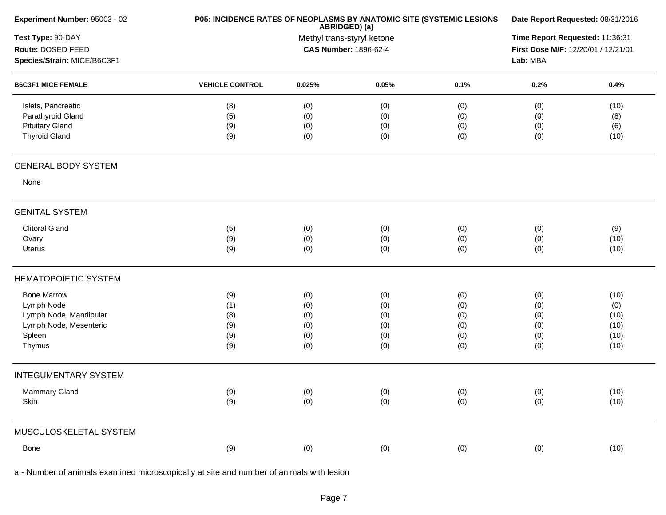| Experiment Number: 95003 - 02          | P05: INCIDENCE RATES OF NEOPLASMS BY ANATOMIC SITE (SYSTEMIC LESIONS |        | ABRIDGED) (a)              |      | Date Report Requested: 08/31/2016 |                                                                        |  |  |
|----------------------------------------|----------------------------------------------------------------------|--------|----------------------------|------|-----------------------------------|------------------------------------------------------------------------|--|--|
| Test Type: 90-DAY<br>Route: DOSED FEED |                                                                      |        | Methyl trans-styryl ketone |      |                                   | Time Report Requested: 11:36:31<br>First Dose M/F: 12/20/01 / 12/21/01 |  |  |
| Species/Strain: MICE/B6C3F1            | <b>CAS Number: 1896-62-4</b>                                         |        |                            |      | Lab: MBA                          |                                                                        |  |  |
| <b>B6C3F1 MICE FEMALE</b>              | <b>VEHICLE CONTROL</b>                                               | 0.025% | 0.05%                      | 0.1% | 0.2%                              | 0.4%                                                                   |  |  |
| Islets, Pancreatic                     | (8)                                                                  | (0)    | (0)                        | (0)  | (0)                               | (10)                                                                   |  |  |
| Parathyroid Gland                      | (5)                                                                  | (0)    | (0)                        | (0)  | (0)                               | (8)                                                                    |  |  |
| <b>Pituitary Gland</b>                 | (9)                                                                  | (0)    | (0)                        | (0)  | (0)                               | (6)                                                                    |  |  |
| <b>Thyroid Gland</b>                   | (9)                                                                  | (0)    | (0)                        | (0)  | (0)                               | (10)                                                                   |  |  |
| <b>GENERAL BODY SYSTEM</b>             |                                                                      |        |                            |      |                                   |                                                                        |  |  |
| None                                   |                                                                      |        |                            |      |                                   |                                                                        |  |  |
| <b>GENITAL SYSTEM</b>                  |                                                                      |        |                            |      |                                   |                                                                        |  |  |
| <b>Clitoral Gland</b>                  | (5)                                                                  | (0)    | (0)                        | (0)  | (0)                               | (9)                                                                    |  |  |
| Ovary                                  | (9)                                                                  | (0)    | (0)                        | (0)  | (0)                               | (10)                                                                   |  |  |
| Uterus                                 | (9)                                                                  | (0)    | (0)                        | (0)  | (0)                               | (10)                                                                   |  |  |
| <b>HEMATOPOIETIC SYSTEM</b>            |                                                                      |        |                            |      |                                   |                                                                        |  |  |
| <b>Bone Marrow</b>                     | (9)                                                                  | (0)    | (0)                        | (0)  | (0)                               | (10)                                                                   |  |  |
| Lymph Node                             | (1)                                                                  | (0)    | (0)                        | (0)  | (0)                               | (0)                                                                    |  |  |
| Lymph Node, Mandibular                 | (8)                                                                  | (0)    | (0)                        | (0)  | (0)                               | (10)                                                                   |  |  |
| Lymph Node, Mesenteric                 | (9)                                                                  | (0)    | (0)                        | (0)  | (0)                               | (10)                                                                   |  |  |
| Spleen                                 | (9)                                                                  | (0)    | (0)                        | (0)  | (0)                               | (10)                                                                   |  |  |
| Thymus                                 | (9)                                                                  | (0)    | (0)                        | (0)  | (0)                               | (10)                                                                   |  |  |
| <b>INTEGUMENTARY SYSTEM</b>            |                                                                      |        |                            |      |                                   |                                                                        |  |  |
| Mammary Gland                          | (9)                                                                  | (0)    | (0)                        | (0)  | (0)                               | (10)                                                                   |  |  |
| Skin                                   | (9)                                                                  | (0)    | (0)                        | (0)  | (0)                               | (10)                                                                   |  |  |
| MUSCULOSKELETAL SYSTEM                 |                                                                      |        |                            |      |                                   |                                                                        |  |  |
| Bone                                   | (9)                                                                  | (0)    | (0)                        | (0)  | (0)                               | (10)                                                                   |  |  |
|                                        |                                                                      |        |                            |      |                                   |                                                                        |  |  |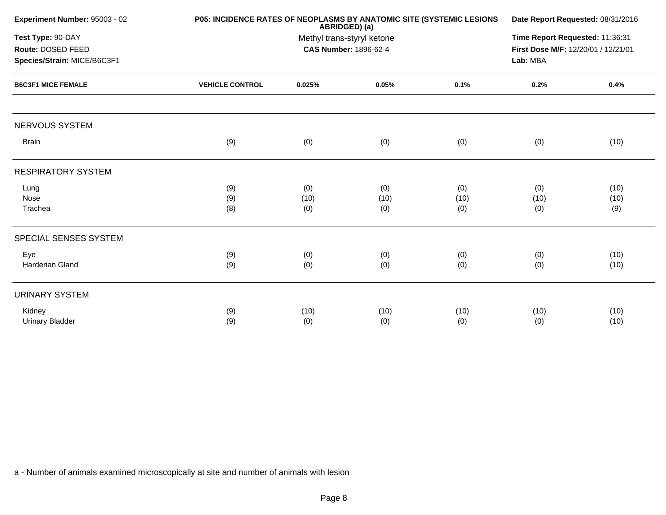|                        |                    |                                                                                    |                                                                      | Date Report Requested: 08/31/2016                                    |                     |  |  |
|------------------------|--------------------|------------------------------------------------------------------------------------|----------------------------------------------------------------------|----------------------------------------------------------------------|---------------------|--|--|
|                        |                    | Time Report Requested: 11:36:31<br>First Dose M/F: 12/20/01 / 12/21/01<br>Lab: MBA |                                                                      |                                                                      |                     |  |  |
| <b>VEHICLE CONTROL</b> | 0.025%             | 0.05%                                                                              | 0.1%                                                                 | 0.2%                                                                 | 0.4%                |  |  |
|                        |                    |                                                                                    |                                                                      |                                                                      |                     |  |  |
| (9)                    | (0)                | (0)                                                                                | (0)                                                                  | (0)                                                                  | (10)                |  |  |
|                        |                    |                                                                                    |                                                                      |                                                                      |                     |  |  |
| (9)<br>(9)<br>(8)      | (0)<br>(10)<br>(0) | (0)<br>(10)<br>(0)                                                                 | (0)<br>(10)<br>(0)                                                   | (0)<br>(10)<br>(0)                                                   | (10)<br>(10)<br>(9) |  |  |
|                        |                    |                                                                                    |                                                                      |                                                                      |                     |  |  |
| (9)<br>(9)             | (0)<br>(0)         | (0)<br>(0)                                                                         | (0)<br>(0)                                                           | (0)<br>(0)                                                           | (10)<br>(10)        |  |  |
|                        |                    |                                                                                    |                                                                      |                                                                      |                     |  |  |
| (9)<br>(9)             | (10)<br>(0)        | (10)<br>(0)                                                                        | (10)<br>(0)                                                          | (10)<br>(0)                                                          | (10)<br>(10)        |  |  |
|                        |                    |                                                                                    | ABRIDGED) (a)<br>Methyl trans-styryl ketone<br>CAS Number: 1896-62-4 | P05: INCIDENCE RATES OF NEOPLASMS BY ANATOMIC SITE (SYSTEMIC LESIONS |                     |  |  |